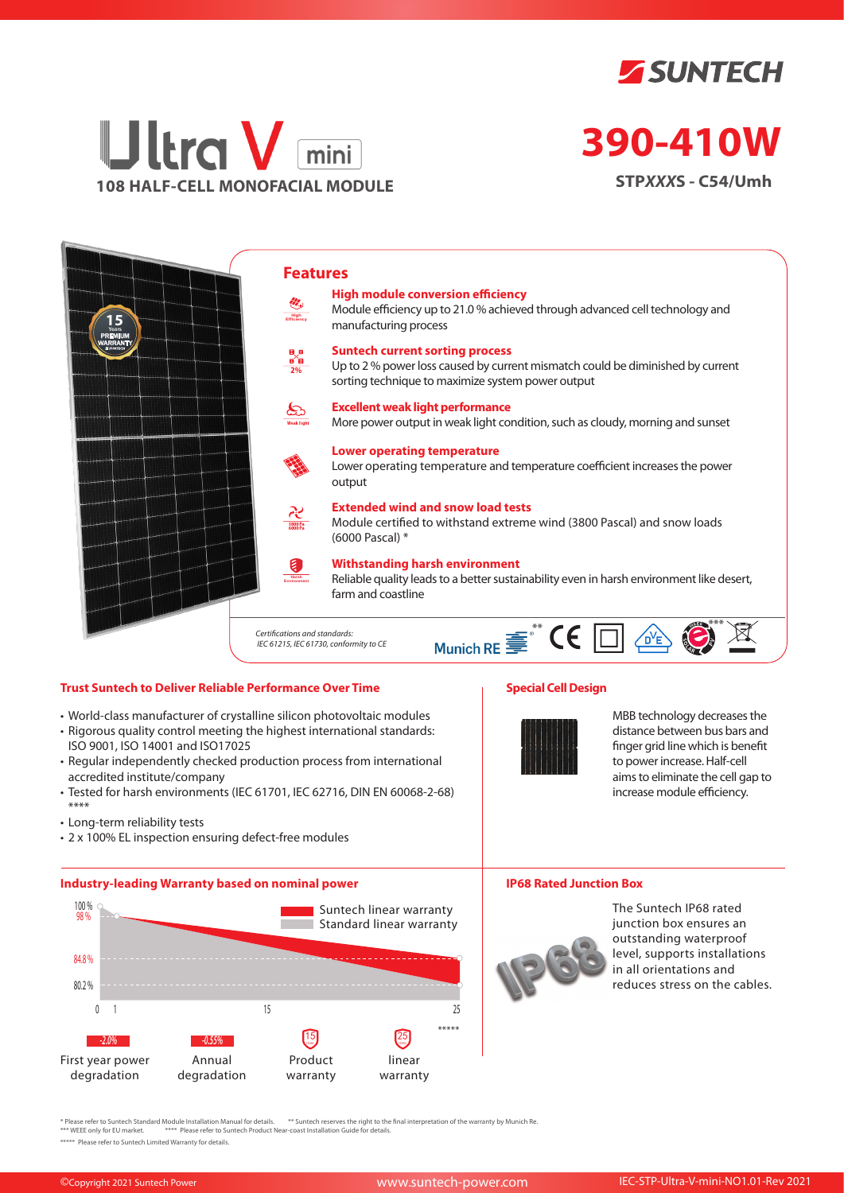



# **390-410W**

**STP***XXX***S - C54/Umh**



### **Trust Suntech to Deliver Reliable Performance Over Time**

- World-class manufacturer of crystalline silicon photovoltaic modules
- Rigorous quality control meeting the highest international standards: ISO 9001, ISO 14001 and ISO17025
- Regular independently checked production process from international accredited institute/company
- Tested for harsh environments (IEC 61701, IEC 62716, DIN EN 60068-2-68) \*\*\*\*
- Long-term reliability tests
- 2 x 100% EL inspection ensuring defect-free modules

#### **Industry-leading Warranty based on nominal power**



## **Special Cell Design**



MBB technology decreases the distance between bus bars and finger grid line which is benefit to power increase. Half-cell aims to eliminate the cell gap to increase module efficiency.

#### **IP68 Rated Junction Box**



The Suntech IP68 rated junction box ensures an outstanding waterproof level, supports installations in all orientations and reduces stress on the cables.

\* Please refer to Suntech Standard Module Installation Manual for details. \*\* Suntech reserves the right to the final interpretation of the warranty by Munich Re.<br>\*\*\* WEEE only for EU market. \*\*\*\* Please refer to Suntech P

\*\*\*\*\* Please refer to Suntech Limited Warranty for details